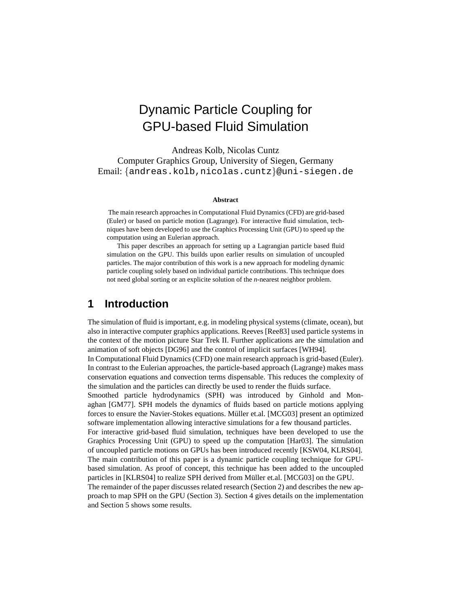# Dynamic Particle Coupling for GPU-based Fluid Simulation

Andreas Kolb, Nicolas Cuntz Computer Graphics Group, University of Siegen, Germany Email: {andreas.kolb,nicolas.cuntz}@uni-siegen.de

#### **Abstract**

The main research approaches in Computational Fluid Dynamics (CFD) are grid-based (Euler) or based on particle motion (Lagrange). For interactive fluid simulation, techniques have been developed to use the Graphics Processing Unit (GPU) to speed up the computation using an Eulerian approach.

This paper describes an approach for setting up a Lagrangian particle based fluid simulation on the GPU. This builds upon earlier results on simulation of uncoupled particles. The major contribution of this work is a new approach for modeling dynamic particle coupling solely based on individual particle contributions. This technique does not need global sorting or an explicite solution of the *n*-nearest neighbor problem.

### **1 Introduction**

The simulation of fluid is important, e.g. in modeling physical systems (climate, ocean), but also in interactive computer graphics applications. Reeves [Ree83] used particle systems in the context of the motion picture Star Trek II. Further applications are the simulation and animation of soft objects [DG96] and the control of implicit surfaces [WH94].

In Computational Fluid Dynamics (CFD) one main research approach is grid-based (Euler). In contrast to the Eulerian approaches, the particle-based approach (Lagrange) makes mass conservation equations and convection terms dispensable. This reduces the complexity of the simulation and the particles can directly be used to render the fluids surface.

Smoothed particle hydrodynamics (SPH) was introduced by Ginhold and Monaghan [GM77]. SPH models the dynamics of fluids based on particle motions applying forces to ensure the Navier-Stokes equations. Müller et.al. [MCG03] present an optimized software implementation allowing interactive simulations for a few thousand particles.

For interactive grid-based fluid simulation, techniques have been developed to use the Graphics Processing Unit (GPU) to speed up the computation [Har03]. The simulation of uncoupled particle motions on GPUs has been introduced recently [KSW04, KLRS04]. The main contribution of this paper is a dynamic particle coupling technique for GPUbased simulation. As proof of concept, this technique has been added to the uncoupled particles in [KLRS04] to realize SPH derived from Müller et.al. [MCG03] on the GPU.

The remainder of the paper discusses related research (Section 2) and describes the new approach to map SPH on the GPU (Section 3). Section 4 gives details on the implementation and Section 5 shows some results.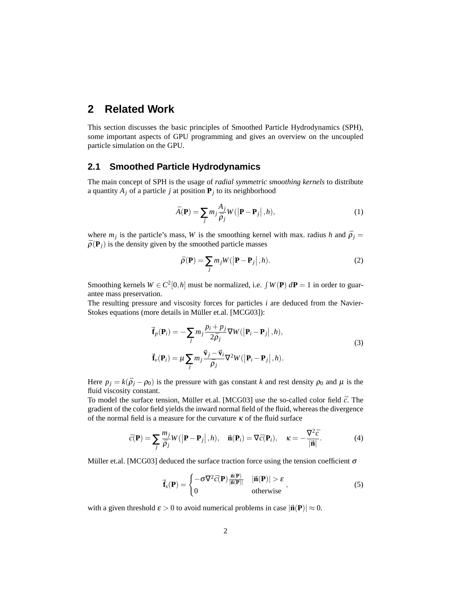### **2 Related Work**

This section discusses the basic principles of Smoothed Particle Hydrodynamics (SPH), some important aspects of GPU programming and gives an overview on the uncoupled particle simulation on the GPU.

#### **2.1 Smoothed Particle Hydrodynamics**

The main concept of SPH is the usage of *radial symmetric smoothing kernels* to distribute a quantity  $A_j$  of a particle *j* at position  $P_j$  to its neighborhood

$$
\bar{A}(\mathbf{P}) = \sum_{j} m_{j} \frac{A_{j}}{\bar{\rho}_{j}} W(|\mathbf{P} - \mathbf{P}_{j}|, h), \qquad (1)
$$

where  $m_j$  is the particle's mass, *W* is the smoothing kernel with max. radius *h* and  $\bar{p}_j =$  $\bar{\rho}(\mathbf{P}_i)$  is the density given by the smoothed particle masses

$$
\bar{\rho}(\mathbf{P}) = \sum_{j} m_{j} W(|\mathbf{P} - \mathbf{P}_{j}|, h).
$$
 (2)

Smoothing kernels  $W \in C^2[0,h]$  must be normalized, i.e.  $\int W(\mathbf{P}) d\mathbf{P} = 1$  in order to guarantee mass preservation.

The resulting pressure and viscosity forces for particles *i* are deduced from the Navier-Stokes equations (more details in Müller et.al. [MCG03]):

$$
\vec{\mathbf{f}}_p(\mathbf{P}_i) = -\sum_j m_j \frac{p_i + p_j}{2\bar{\rho}_j} \nabla W(|\mathbf{P}_i - \mathbf{P}_j|, h),
$$
\n
$$
\vec{\mathbf{f}}_v(\mathbf{P}_i) = \mu \sum_j m_j \frac{\vec{\mathbf{v}}_j - \vec{\mathbf{v}}_i}{\bar{\rho}_j} \nabla^2 W(|\mathbf{P}_i - \mathbf{P}_j|, h).
$$
\n(3)

Here  $p_j = k(\bar{p}_j - \rho_0)$  is the pressure with gas constant *k* and rest density  $\rho_0$  and  $\mu$  is the fluid viscosity constant.

To model the surface tension, Müller et.al. [MCG03] use the so-called color field  $\bar{c}$ . The gradient of the color field yields the inward normal field of the fluid, whereas the divergence of the normal field is a measure for the curvature  $\kappa$  of the fluid surface

$$
\bar{c}(\mathbf{P}) = \sum_{j} \frac{m_j}{\bar{\rho}_j} W(|\mathbf{P} - \mathbf{P}_j|, h), \quad \vec{\mathbf{n}}(\mathbf{P}_i) = \nabla \bar{c}(\mathbf{P}_i), \quad \kappa = -\frac{\nabla^2 \bar{c}}{|\vec{\mathbf{n}}|}.
$$
 (4)

Müller et.al. [MCG03] deduced the surface traction force using the tension coefficient  $\sigma$ 

$$
\vec{\mathbf{f}}_s(\mathbf{P}) = \begin{cases}\n-\sigma \nabla^2 \bar{c}(\mathbf{P}) \frac{\vec{\mathbf{n}}(\mathbf{P})}{|\vec{\mathbf{n}}(\mathbf{P})|} & |\vec{\mathbf{n}}(\mathbf{P})| > \varepsilon \\
0 & \text{otherwise}\n\end{cases},\n\tag{5}
$$

with a given threshold  $\epsilon > 0$  to avoid numerical problems in case  $|\vec{n}(\mathbf{P})| \approx 0$ .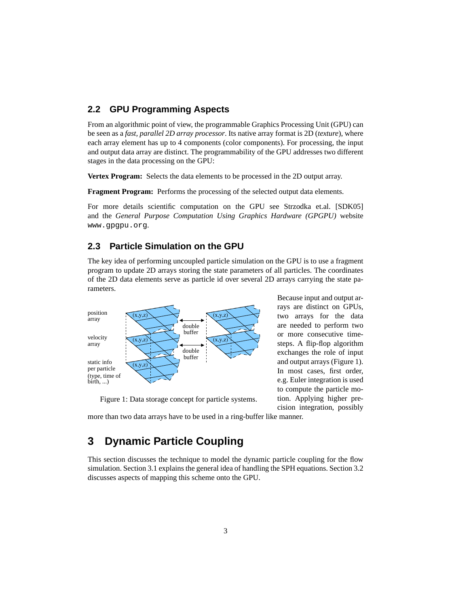### **2.2 GPU Programming Aspects**

From an algorithmic point of view, the programmable Graphics Processing Unit (GPU) can be seen as a *fast, parallel 2D array processor*. Its native array format is 2D (*texture*), where each array element has up to 4 components (color components). For processing, the input and output data array are distinct. The programmability of the GPU addresses two different stages in the data processing on the GPU:

**Vertex Program:** Selects the data elements to be processed in the 2D output array.

**Fragment Program:** Performs the processing of the selected output data elements.

For more details scientific computation on the GPU see Strzodka et.al. [SDK05] and the *General Purpose Computation Using Graphics Hardware (GPGPU)* website www.gpgpu.org.

### **2.3 Particle Simulation on the GPU**

The key idea of performing uncoupled particle simulation on the GPU is to use a fragment program to update 2D arrays storing the state parameters of all particles. The coordinates of the 2D data elements serve as particle id over several 2D arrays carrying the state parameters.



Because input and output arrays are distinct on GPUs, two arrays for the data are needed to perform two or more consecutive timesteps. A flip-flop algorithm exchanges the role of input and output arrays (Figure 1). In most cases, first order, e.g. Euler integration is used to compute the particle motion. Applying higher precision integration, possibly

Figure 1: Data storage concept for particle systems.

more than two data arrays have to be used in a ring-buffer like manner.

## **3 Dynamic Particle Coupling**

This section discusses the technique to model the dynamic particle coupling for the flow simulation. Section 3.1 explains the general idea of handling the SPH equations. Section 3.2 discusses aspects of mapping this scheme onto the GPU.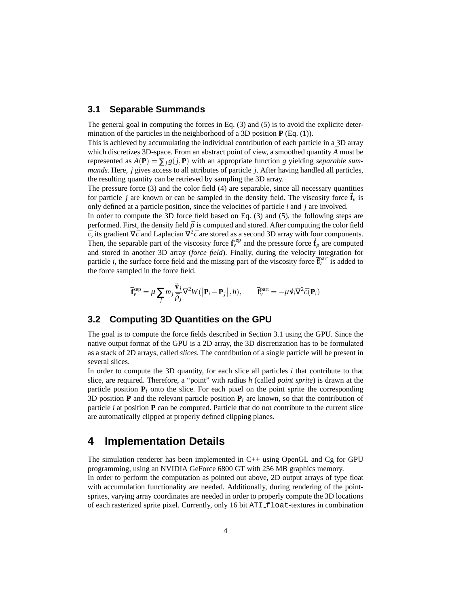#### **3.1 Separable Summands**

The general goal in computing the forces in Eq. (3) and (5) is to avoid the explicite determination of the particles in the neighborhood of a 3D position **P** (Eq. (1)).

This is achieved by accumulating the individual contribution of each particle in a 3D array which discretizes 3D-space. From an abstract point of view, a smoothed quantity  $\bar{A}$  must be represented as  $A(\mathbf{P}) = \sum_{i} g(j, \mathbf{P})$  with an appropriate function *g* yielding *separable summands*. Here, *j* gives access to all attributes of particle *j*. After having handled all particles, the resulting quantity can be retrieved by sampling the 3D array.

The pressure force (3) and the color field (4) are separable, since all necessary quantities for particle *j* are known or can be sampled in the density field. The viscosity force  $\mathbf{f}_v$  is only defined at a particle position, since the velocities of particle *i* and *j* are involved.

In order to compute the 3D force field based on Eq. (3) and (5), the following steps are performed. First, the density field  $\bar{\rho}$  is computed and stored. After computing the color field  $\bar{c}$ , its gradient  $\nabla \bar{c}$  and Laplacian  $\nabla^2 \bar{c}$  are stored as a second 3D array with four components. Then, the separable part of the viscosity force  $\vec{f}_v^{\text{sep}}$  and the pressure force  $\vec{f}_p$  are computed and stored in another 3D array (*force field*). Finally, during the velocity integration for particle *i*, the surface force field and the missing part of the viscosity force  $\vec{f}_v^{\text{part}}$  is added to the force sampled in the force field.

$$
\vec{\mathbf{f}}_{\nu}^{\text{sep}} = \mu \sum_{j} m_{j} \frac{\vec{\mathbf{v}}_{j}}{\bar{\rho}_{j}} \nabla^{2} W(|\mathbf{P}_{i} - \mathbf{P}_{j}|, h), \qquad \vec{\mathbf{f}}_{\nu}^{\text{part}} = -\mu \vec{\mathbf{v}}_{i} \nabla^{2} \bar{c}(\mathbf{P}_{i})
$$

### **3.2 Computing 3D Quantities on the GPU**

The goal is to compute the force fields described in Section 3.1 using the GPU. Since the native output format of the GPU is a 2D array, the 3D discretization has to be formulated as a stack of 2D arrays, called *slices*. The contribution of a single particle will be present in several slices.

In order to compute the 3D quantity, for each slice all particles *i* that contribute to that slice, are required. Therefore, a "point" with radius *h* (called *point sprite*) is drawn at the particle position  $P_i$  onto the slice. For each pixel on the point sprite the corresponding 3D position **P** and the relevant particle position  $P_i$  are known, so that the contribution of particle *i* at position **P** can be computed. Particle that do not contribute to the current slice are automatically clipped at properly defined clipping planes.

### **4 Implementation Details**

The simulation renderer has been implemented in C++ using OpenGL and Cg for GPU programming, using an NVIDIA GeForce 6800 GT with 256 MB graphics memory. In order to perform the computation as pointed out above, 2D output arrays of type float

with accumulation functionality are needed. Additionally, during rendering of the pointsprites, varying array coordinates are needed in order to properly compute the 3D locations of each rasterized sprite pixel. Currently, only 16 bit ATI\_float-textures in combination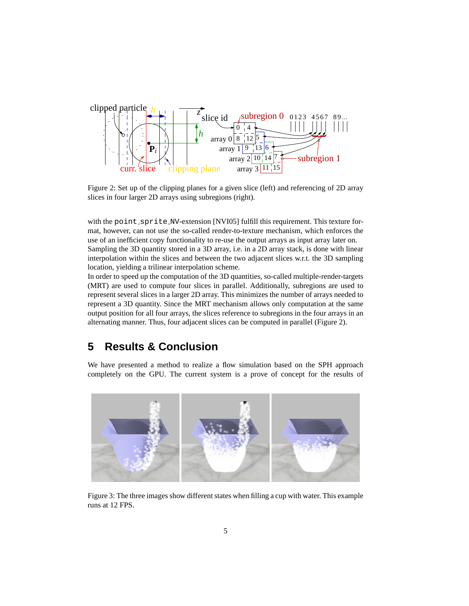

Figure 2: Set up of the clipping planes for a given slice (left) and referencing of 2D array slices in four larger 2D arrays using subregions (right).

with the point\_sprite\_NV-extension [NVI05] fulfill this requirement. This texture format, however, can not use the so-called render-to-texture mechanism, which enforces the use of an inefficient copy functionality to re-use the output arrays as input array later on. Sampling the 3D quantity stored in a 3D array, i.e. in a 2D array stack, is done with linear interpolation within the slices and between the two adjacent slices w.r.t. the 3D sampling location, yielding a trilinear interpolation scheme.

In order to speed up the computation of the 3D quantities, so-called multiple-render-targets (MRT) are used to compute four slices in parallel. Additionally, subregions are used to represent several slices in a larger 2D array. This minimizes the number of arrays needed to represent a 3D quantity. Since the MRT mechanism allows only computation at the same output position for all four arrays, the slices reference to subregions in the four arrays in an alternating manner. Thus, four adjacent slices can be computed in parallel (Figure 2).

## **5 Results & Conclusion**

We have presented a method to realize a flow simulation based on the SPH approach completely on the GPU. The current system is a prove of concept for the results of



Figure 3: The three images show different states when filling a cup with water. This example runs at 12 FPS.